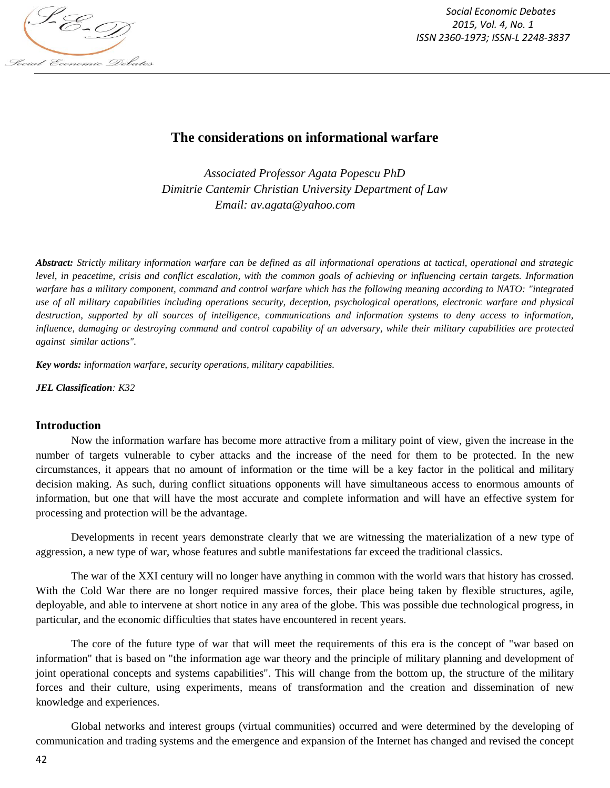

*Social Economic Debates 2015, Vol. 4, No. 1 ISSN 2360-1973; ISSN-L 2248-3837*

## **The considerations on informational warfare**

*Associated Professor Agata Popescu PhD Dimitrie Cantemir Christian University Department of Law Email: av.agata@yahoo.com*

*Abstract: Strictly military information warfare can be defined as all informational operations at tactical, operational and strategic level, in peacetime, crisis and conflict escalation, with the common goals of achieving or influencing certain targets. Information warfare has a military component, command and control warfare which has the following meaning according to NATO: "integrated use of all military capabilities including operations security, deception, psychological operations, electronic warfare and physical destruction, supported by all sources of intelligence, communications and information systems to deny access to information, influence, damaging or destroying command and control capability of an adversary, while their military capabilities are protected against similar actions".*

*Key words: information warfare, security operations, military capabilities.*

*JEL Classification: K32*

## **Introduction**

Now the information warfare has become more attractive from a military point of view, given the increase in the number of targets vulnerable to cyber attacks and the increase of the need for them to be protected. In the new circumstances, it appears that no amount of information or the time will be a key factor in the political and military decision making. As such, during conflict situations opponents will have simultaneous access to enormous amounts of information, but one that will have the most accurate and complete information and will have an effective system for processing and protection will be the advantage.

Developments in recent years demonstrate clearly that we are witnessing the materialization of a new type of aggression, a new type of war, whose features and subtle manifestations far exceed the traditional classics.

The war of the XXI century will no longer have anything in common with the world wars that history has crossed. With the Cold War there are no longer required massive forces, their place being taken by flexible structures, agile, deployable, and able to intervene at short notice in any area of the globe. This was possible due technological progress, in particular, and the economic difficulties that states have encountered in recent years.

The core of the future type of war that will meet the requirements of this era is the concept of "war based on information" that is based on "the information age war theory and the principle of military planning and development of joint operational concepts and systems capabilities". This will change from the bottom up, the structure of the military forces and their culture, using experiments, means of transformation and the creation and dissemination of new knowledge and experiences.

Global networks and interest groups (virtual communities) occurred and were determined by the developing of communication and trading systems and the emergence and expansion of the Internet has changed and revised the concept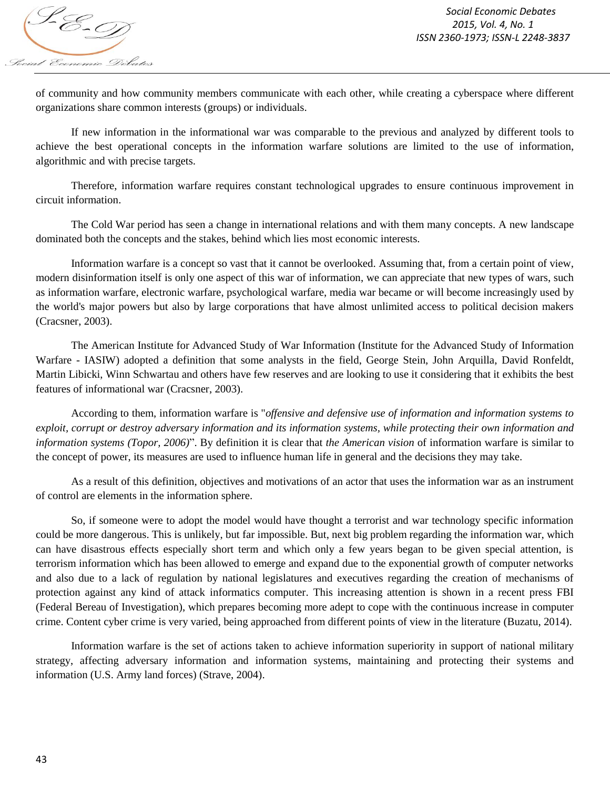of community and how community members communicate with each other, while creating a cyberspace where different organizations share common interests (groups) or individuals.

If new information in the informational war was comparable to the previous and analyzed by different tools to achieve the best operational concepts in the information warfare solutions are limited to the use of information, algorithmic and with precise targets.

Therefore, information warfare requires constant technological upgrades to ensure continuous improvement in circuit information.

The Cold War period has seen a change in international relations and with them many concepts. A new landscape dominated both the concepts and the stakes, behind which lies most economic interests.

Information warfare is a concept so vast that it cannot be overlooked. Assuming that, from a certain point of view, modern disinformation itself is only one aspect of this war of information, we can appreciate that new types of wars, such as information warfare, electronic warfare, psychological warfare, media war became or will become increasingly used by the world's major powers but also by large corporations that have almost unlimited access to political decision makers (Cracsner, 2003).

The American Institute for Advanced Study of War Information (Institute for the Advanced Study of Information Warfare - IASIW) adopted a definition that some analysts in the field, George Stein, John Arquilla, David Ronfeldt, Martin Libicki, Winn Schwartau and others have few reserves and are looking to use it considering that it exhibits the best features of informational war (Cracsner, 2003).

According to them, information warfare is "*offensive and defensive use of information and information systems to exploit, corrupt or destroy adversary information and its information systems, while protecting their own information and information systems (Topor, 2006)*". By definition it is clear that *the American vision* of information warfare is similar to the concept of power, its measures are used to influence human life in general and the decisions they may take.

As a result of this definition, objectives and motivations of an actor that uses the information war as an instrument of control are elements in the information sphere.

So, if someone were to adopt the model would have thought a terrorist and war technology specific information could be more dangerous. This is unlikely, but far impossible. But, next big problem regarding the information war, which can have disastrous effects especially short term and which only a few years began to be given special attention, is terrorism information which has been allowed to emerge and expand due to the exponential growth of computer networks and also due to a lack of regulation by national legislatures and executives regarding the creation of mechanisms of protection against any kind of attack informatics computer. This increasing attention is shown in a recent press FBI (Federal Bereau of Investigation), which prepares becoming more adept to cope with the continuous increase in computer crime. Content cyber crime is very varied, being approached from different points of view in the literature (Buzatu, 2014).

Information warfare is the set of actions taken to achieve information superiority in support of national military strategy, affecting adversary information and information systems, maintaining and protecting their systems and information (U.S. Army land forces) (Strave, 2004).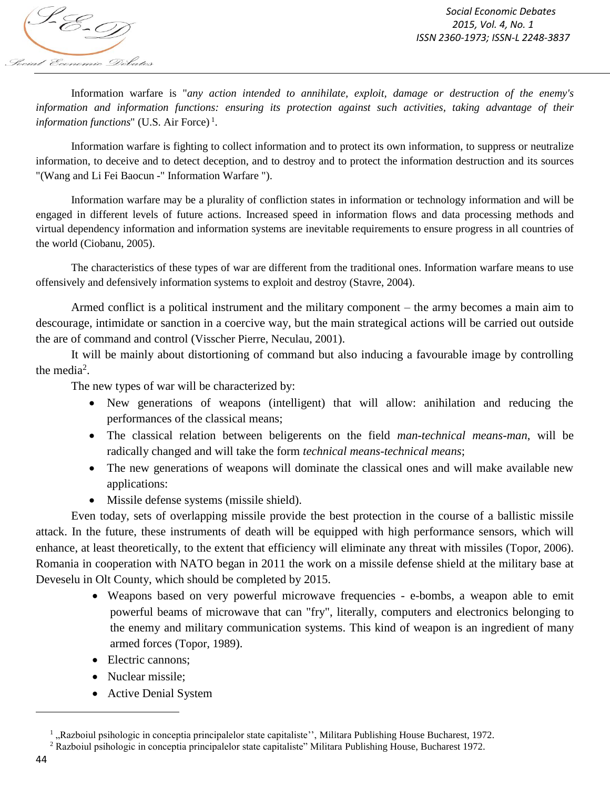

Information warfare is "*any action intended to annihilate, exploit, damage or destruction of the enemy's information and information functions: ensuring its protection against such activities, taking advantage of their* information functions" (U.S. Air Force)<sup>1</sup>.

Information warfare is fighting to collect information and to protect its own information, to suppress or neutralize information, to deceive and to detect deception, and to destroy and to protect the information destruction and its sources "(Wang and Li Fei Baocun -" Information Warfare ").

Information warfare may be a plurality of confliction states in information or technology information and will be engaged in different levels of future actions. Increased speed in information flows and data processing methods and virtual dependency information and information systems are inevitable requirements to ensure progress in all countries of the world (Ciobanu, 2005).

The characteristics of these types of war are different from the traditional ones. Information warfare means to use offensively and defensively information systems to exploit and destroy (Stavre, 2004).

Armed conflict is a political instrument and the military component – the army becomes a main aim to descourage, intimidate or sanction in a coercive way, but the main strategical actions will be carried out outside the are of command and control (Visscher Pierre, Neculau, 2001).

It will be mainly about distortioning of command but also inducing a favourable image by controlling the media<sup>2</sup>.

The new types of war will be characterized by:

- New generations of weapons (intelligent) that will allow: anihilation and reducing the performances of the classical means;
- The classical relation between beligerents on the field *man-technical means-man*, will be radically changed and will take the form *technical means-technical means*;
- The new generations of weapons will dominate the classical ones and will make available new applications:
- Missile defense systems (missile shield).

Even today, sets of overlapping missile provide the best protection in the course of a ballistic missile attack. In the future, these instruments of death will be equipped with high performance sensors, which will enhance, at least theoretically, to the extent that efficiency will eliminate any threat with missiles (Topor, 2006). Romania in cooperation with NATO began in 2011 the work on a missile defense shield at the military base at Deveselu in Olt County, which should be completed by 2015.

- Weapons based on very powerful microwave frequencies e-bombs, a weapon able to emit powerful beams of microwave that can "fry", literally, computers and electronics belonging to the enemy and military communication systems. This kind of weapon is an ingredient of many armed forces (Topor, 1989).
- Electric cannons;
- Nuclear missile;
- Active Denial System

 $\overline{a}$ 

<sup>&</sup>lt;sup>1</sup>, Razboiul psihologic in conceptia principalelor state capitaliste", Militara Publishing House Bucharest, 1972.

<sup>2</sup> Razboiul psihologic in conceptia principalelor state capitaliste" Militara Publishing House, Bucharest 1972.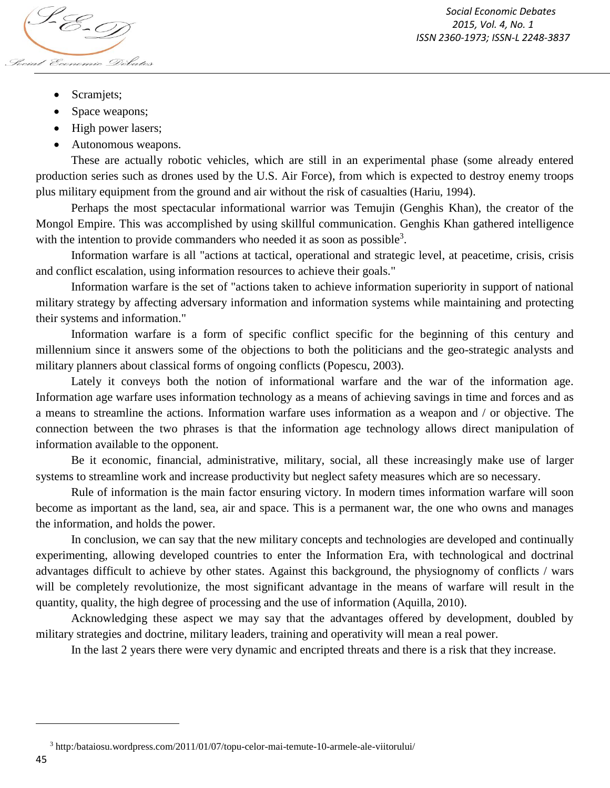

*Social Economic Debates 2015, Vol. 4, No. 1 ISSN 2360-1973; ISSN-L 2248-3837*

- Scramjets;
- Space weapons;
- High power lasers;
- Autonomous weapons.

These are actually robotic vehicles, which are still in an experimental phase (some already entered production series such as drones used by the U.S. Air Force), from which is expected to destroy enemy troops plus military equipment from the ground and air without the risk of casualties (Hariu, 1994).

Perhaps the most spectacular informational warrior was Temujin (Genghis Khan), the creator of the Mongol Empire. This was accomplished by using skillful communication. Genghis Khan gathered intelligence with the intention to provide commanders who needed it as soon as possible<sup>3</sup>.

Information warfare is all "actions at tactical, operational and strategic level, at peacetime, crisis, crisis and conflict escalation, using information resources to achieve their goals."

Information warfare is the set of "actions taken to achieve information superiority in support of national military strategy by affecting adversary information and information systems while maintaining and protecting their systems and information."

Information warfare is a form of specific conflict specific for the beginning of this century and millennium since it answers some of the objections to both the politicians and the geo-strategic analysts and military planners about classical forms of ongoing conflicts (Popescu, 2003).

Lately it conveys both the notion of informational warfare and the war of the information age. Information age warfare uses information technology as a means of achieving savings in time and forces and as a means to streamline the actions. Information warfare uses information as a weapon and / or objective. The connection between the two phrases is that the information age technology allows direct manipulation of information available to the opponent.

Be it economic, financial, administrative, military, social, all these increasingly make use of larger systems to streamline work and increase productivity but neglect safety measures which are so necessary.

Rule of information is the main factor ensuring victory. In modern times information warfare will soon become as important as the land, sea, air and space. This is a permanent war, the one who owns and manages the information, and holds the power.

In conclusion, we can say that the new military concepts and technologies are developed and continually experimenting, allowing developed countries to enter the Information Era, with technological and doctrinal advantages difficult to achieve by other states. Against this background, the physiognomy of conflicts / wars will be completely revolutionize, the most significant advantage in the means of warfare will result in the quantity, quality, the high degree of processing and the use of information (Aquilla, 2010).

Acknowledging these aspect we may say that the advantages offered by development, doubled by military strategies and doctrine, military leaders, training and operativity will mean a real power.

In the last 2 years there were very dynamic and encripted threats and there is a risk that they increase.

 $\overline{\phantom{a}}$ 

<sup>3</sup> http:/bataiosu.wordpress.com/2011/01/07/topu-celor-mai-temute-10-armele-ale-viitorului/